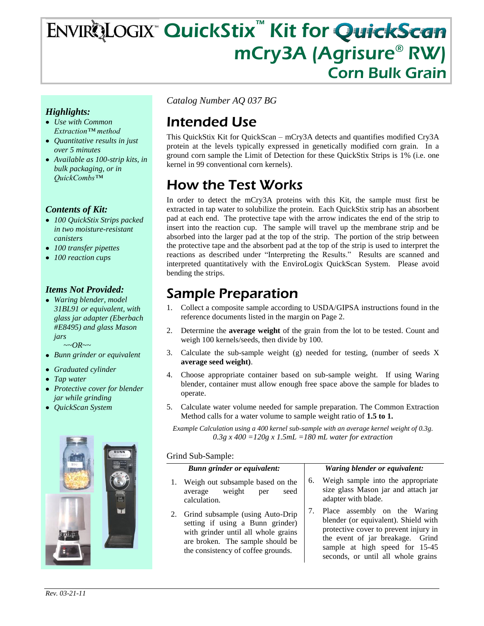# ENVIRQLOGIX™ QuickStix™ Kit for QuickScan mCry3A (Agrisure® RW) Corn Bulk Grain

### *Highlights:*

- *Use with Common Extraction™ method*
- *Quantitative results in just over 5 minutes*
- *Available as 100-strip kits, in bulk packaging, or in QuickCombs™*

#### *Contents of Kit:*

- *100 QuickStix Strips packed in two moisture-resistant canisters*
- *100 transfer pipettes*
- *100 reaction cups*

#### *Items Not Provided:*

*Waring blender, model 31BL91 or equivalent, with glass jar adapter (Eberbach #E8495) and glass Mason jars*

 *~~OR~~*

- *Bunn grinder or equivalent*
- *Graduated cylinder*
- *Tap water*
- *Protective cover for blender jar while grinding*
- *QuickScan System*



*Catalog Number AQ 037 BG*

# Intended Use

This QuickStix Kit for QuickScan – mCry3A detects and quantifies modified Cry3A protein at the levels typically expressed in genetically modified corn grain. In a ground corn sample the Limit of Detection for these QuickStix Strips is 1% (i.e. one kernel in 99 conventional corn kernels).

# How the Test Works

In order to detect the mCry3A proteins with this Kit, the sample must first be extracted in tap water to solubilize the protein. Each QuickStix strip has an absorbent pad at each end. The protective tape with the arrow indicates the end of the strip to insert into the reaction cup. The sample will travel up the membrane strip and be absorbed into the larger pad at the top of the strip. The portion of the strip between the protective tape and the absorbent pad at the top of the strip is used to interpret the reactions as described under "Interpreting the Results." Results are scanned and interpreted quantitatively with the EnviroLogix QuickScan System. Please avoid bending the strips.

### Sample Preparation

- 1. Collect a composite sample according to USDA/GIPSA instructions found in the reference documents listed in the margin on Page 2.
- 2. Determine the **average weight** of the grain from the lot to be tested. Count and weigh 100 kernels/seeds, then divide by 100.
- 3. Calculate the sub-sample weight (g) needed for testing, (number of seeds X **average seed weight)**.
- 4. Choose appropriate container based on sub-sample weight. If using Waring blender, container must allow enough free space above the sample for blades to operate.
- 5. Calculate water volume needed for sample preparation. The Common Extraction Method calls for a water volume to sample weight ratio of **1.5 to 1.**

*Example Calculation using a 400 kernel sub-sample with an average kernel weight of 0.3g. 0.3g x 400 =120g x 1.5mL =180 mL water for extraction*

#### Grind Sub-Sample:

|    | <b>Bunn grinder or equivalent:</b>                                                                                                                                                       |    | Waring blender or equivalent:                                                                                                                                                                                             |
|----|------------------------------------------------------------------------------------------------------------------------------------------------------------------------------------------|----|---------------------------------------------------------------------------------------------------------------------------------------------------------------------------------------------------------------------------|
| 1. | Weigh out subsample based on the<br>average weight<br>seed<br>per<br>calculation.                                                                                                        | 6. | Weigh sample into the appropriate<br>size glass Mason jar and attach jar<br>adapter with blade.                                                                                                                           |
|    | 2. Grind subsample (using Auto-Drip<br>setting if using a Bunn grinder)<br>with grinder until all whole grains<br>are broken. The sample should be<br>the consistency of coffee grounds. | 7. | Place assembly on the Waring<br>blender (or equivalent). Shield with<br>protective cover to prevent injury in<br>the event of jar breakage. Grind<br>sample at high speed for 15-45<br>seconds, or until all whole grains |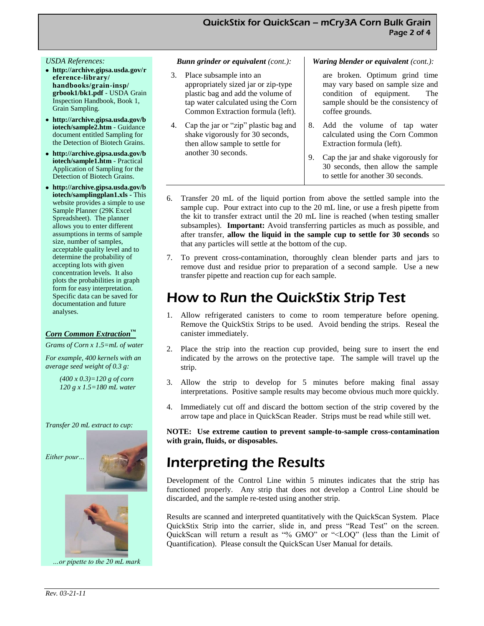#### *USDA References:*

- **http://archive.gipsa.usda.gov/r eference-library/ handbooks/grain-insp/ grbook1/bk1.pdf** - USDA Grain Inspection Handbook, Book 1, Grain Sampling.
- **http://archive.gipsa.usda.gov/b iotech/sample2.htm** - Guidance document entitled Sampling for the Detection of Biotech Grains.
- **http://archive.gipsa.usda.gov/b iotech/sample1.htm** - Practical Application of Sampling for the Detection of Biotech Grains.
- **http://archive.gipsa.usda.gov/b iotech/samplingplan1.xls -** This website provides a simple to use Sample Planner (29K Excel Spreadsheet). The planner allows you to enter different assumptions in terms of sample size, number of samples, acceptable quality level and to determine the probability of accepting lots with given concentration levels. It also plots the probabilities in graph form for easy interpretation. Specific data can be saved for documentation and future analyses.

#### *Corn Common Extraction™*

*Grams of Corn x 1.5=mL of water*

*For example, 400 kernels with an average seed weight of 0.3 g:*

> *(400 x 0.3)=120 g of corn 120 g x 1.5=180 mL water*

#### *Transfer 20 mL extract to cup:*





*…or pipette to the 20 mL mark* 

#### *Bunn grinder or equivalent (cont.):*

- 3. Place subsample into an appropriately sized jar or zip-type plastic bag and add the volume of tap water calculated using the Corn Common Extraction formula (left).
- 4. Cap the jar or "zip" plastic bag and shake vigorously for 30 seconds, then allow sample to settle for another 30 seconds.

#### *Waring blender or equivalent (cont.):*

are broken. Optimum grind time may vary based on sample size and condition of equipment. The sample should be the consistency of coffee grounds.

- 8. Add the volume of tap water calculated using the Corn Common Extraction formula (left).
- 9. Cap the jar and shake vigorously for 30 seconds, then allow the sample to settle for another 30 seconds.
- 6. Transfer 20 mL of the liquid portion from above the settled sample into the sample cup. Pour extract into cup to the 20 mL line, or use a fresh pipette from the kit to transfer extract until the 20 mL line is reached (when testing smaller subsamples). **Important:** Avoid transferring particles as much as possible, and after transfer, **allow the liquid in the sample cup to settle for 30 seconds** so that any particles will settle at the bottom of the cup.
- 7. To prevent cross-contamination, thoroughly clean blender parts and jars to remove dust and residue prior to preparation of a second sample. Use a new transfer pipette and reaction cup for each sample.

### How to Run the QuickStix Strip Test

- 1. Allow refrigerated canisters to come to room temperature before opening. Remove the QuickStix Strips to be used. Avoid bending the strips. Reseal the canister immediately.
- 2. Place the strip into the reaction cup provided, being sure to insert the end indicated by the arrows on the protective tape. The sample will travel up the strip.
- 3. Allow the strip to develop for 5 minutes before making final assay interpretations. Positive sample results may become obvious much more quickly.
- Immediately cut off and discard the bottom section of the strip covered by the arrow tape and place in QuickScan Reader. Strips must be read while still wet.

**NOTE: Use extreme caution to prevent sample-to-sample cross-contamination with grain, fluids, or disposables.**

### Interpreting the Results

Development of the Control Line within 5 minutes indicates that the strip has functioned properly. Any strip that does not develop a Control Line should be discarded, and the sample re-tested using another strip.

Results are scanned and interpreted quantitatively with the QuickScan System. Place QuickStix Strip into the carrier, slide in, and press "Read Test" on the screen. QuickScan will return a result as "% GMO" or "<LOQ" (less than the Limit of Quantification). Please consult the QuickScan User Manual for details.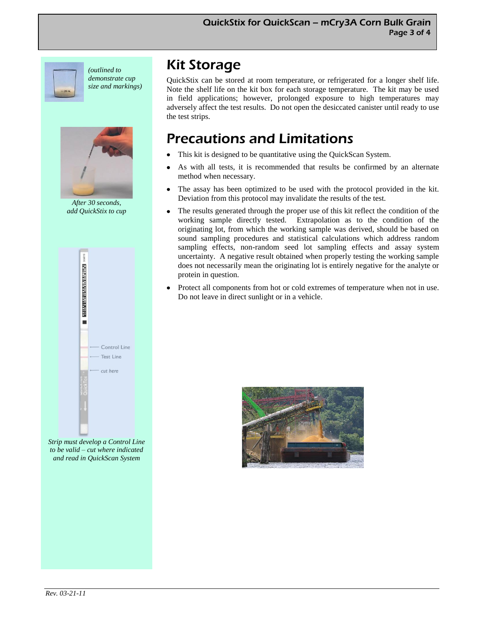

*(outlined to demonstrate cup size and markings)*



*After 30 seconds, add QuickStix to cup*



*Strip must develop a Control Line to be valid – cut where indicated and read in QuickScan System* 

## Kit Storage

QuickStix can be stored at room temperature, or refrigerated for a longer shelf life. Note the shelf life on the kit box for each storage temperature. The kit may be used in field applications; however, prolonged exposure to high temperatures may adversely affect the test results. Do not open the desiccated canister until ready to use the test strips.

## Precautions and Limitations

- This kit is designed to be quantitative using the QuickScan System.
- As with all tests, it is recommended that results be confirmed by an alternate method when necessary.
- The assay has been optimized to be used with the protocol provided in the kit. Deviation from this protocol may invalidate the results of the test.
- The results generated through the proper use of this kit reflect the condition of the working sample directly tested. Extrapolation as to the condition of the originating lot, from which the working sample was derived, should be based on sound sampling procedures and statistical calculations which address random sampling effects, non-random seed lot sampling effects and assay system uncertainty. A negative result obtained when properly testing the working sample does not necessarily mean the originating lot is entirely negative for the analyte or protein in question.
- Protect all components from hot or cold extremes of temperature when not in use. Do not leave in direct sunlight or in a vehicle.